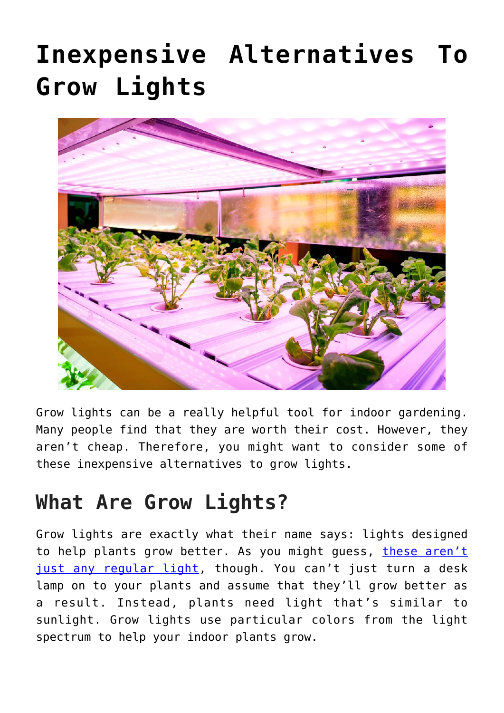# **[Inexpensive Alternatives To](https://www.frugalgardening.com/inexpensive-alternatives-to-grow-lights.html) [Grow Lights](https://www.frugalgardening.com/inexpensive-alternatives-to-grow-lights.html)**



Grow lights can be a really helpful tool for indoor gardening. Many people find that they are worth their cost. However, they aren't cheap. Therefore, you might want to consider some of these inexpensive alternatives to grow lights.

## **What Are Grow Lights?**

Grow lights are exactly what their name says: lights designed to help plants grow better. As you might guess, [these aren't](https://theislandnow.com/blog-112/how-are-grow-lights-different-from-regular-lights/) [just any regular light](https://theislandnow.com/blog-112/how-are-grow-lights-different-from-regular-lights/), though. You can't just turn a desk lamp on to your plants and assume that they'll grow better as a result. Instead, plants need light that's similar to sunlight. Grow lights use particular colors from the light spectrum to help your indoor plants grow.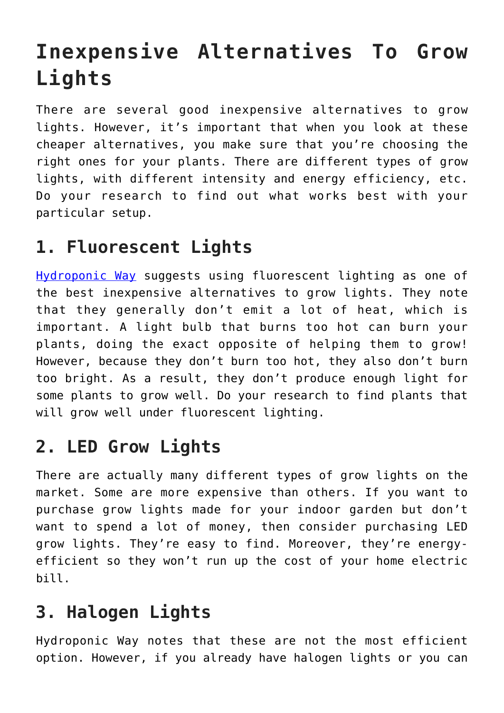## **Inexpensive Alternatives To Grow Lights**

There are several good inexpensive alternatives to grow lights. However, it's important that when you look at these cheaper alternatives, you make sure that you're choosing the right ones for your plants. There are different types of grow lights, with different intensity and energy efficiency, etc. Do your research to find out what works best with your particular setup.

#### **1. Fluorescent Lights**

[Hydroponic Way](https://hydroponicway.com/cheap-grow-lights-alternatives-used-in-indoor-hydroponics) suggests using fluorescent lighting as one of the best inexpensive alternatives to grow lights. They note that they generally don't emit a lot of heat, which is important. A light bulb that burns too hot can burn your plants, doing the exact opposite of helping them to grow! However, because they don't burn too hot, they also don't burn too bright. As a result, they don't produce enough light for some plants to grow well. Do your research to find plants that will grow well under fluorescent lighting.

#### **2. LED Grow Lights**

There are actually many different types of grow lights on the market. Some are more expensive than others. If you want to purchase grow lights made for your indoor garden but don't want to spend a lot of money, then consider purchasing LED grow lights. They're easy to find. Moreover, they're energyefficient so they won't run up the cost of your home electric bill.

#### **3. Halogen Lights**

Hydroponic Way notes that these are not the most efficient option. However, if you already have halogen lights or you can